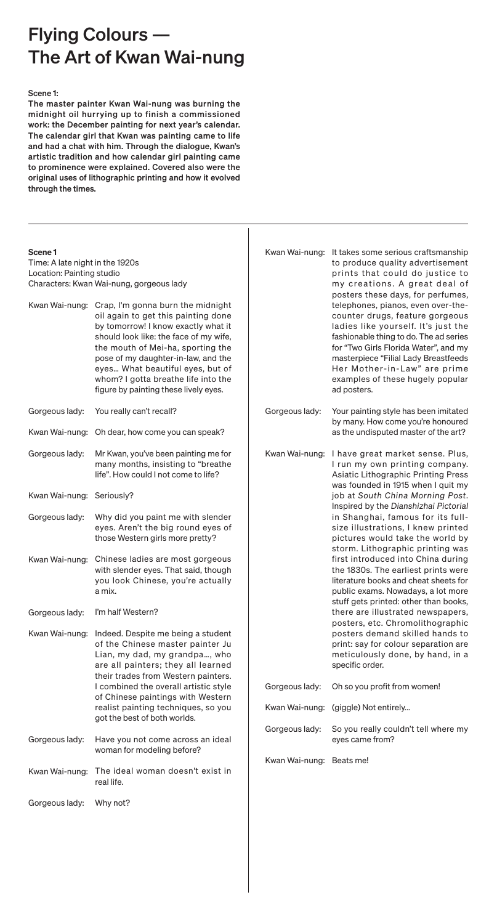| Kwan Wai-nung: | It takes some serious craftsmanship<br>to produce quality advertisement<br>prints that could do justice to<br>my creations. A great deal of<br>posters these days, for perfumes,<br>telephones, pianos, even over-the-<br>counter drugs, feature gorgeous<br>ladies like yourself. It's just the<br>fashionable thing to do. The ad series<br>for "Two Girls Florida Water", and my<br>masterpiece "Filial Lady Breastfeeds<br>Her Mother-in-Law" are prime<br>examples of these hugely popular<br>ad posters.                                                                                                                                                                                                                                                                                         |
|----------------|--------------------------------------------------------------------------------------------------------------------------------------------------------------------------------------------------------------------------------------------------------------------------------------------------------------------------------------------------------------------------------------------------------------------------------------------------------------------------------------------------------------------------------------------------------------------------------------------------------------------------------------------------------------------------------------------------------------------------------------------------------------------------------------------------------|
| Gorgeous lady: | Your painting style has been imitated<br>by many. How come you're honoured<br>as the undisputed master of the art?                                                                                                                                                                                                                                                                                                                                                                                                                                                                                                                                                                                                                                                                                     |
| Kwan Wai-nung: | I have great market sense. Plus,<br>I run my own printing company.<br><b>Asiatic Lithographic Printing Press</b><br>was founded in 1915 when I quit my<br>job at South China Morning Post.<br>Inspired by the Dianshizhai Pictorial<br>in Shanghai, famous for its full-<br>size illustrations, I knew printed<br>pictures would take the world by<br>storm. Lithographic printing was<br>first introduced into China during<br>the 1830s. The earliest prints were<br>literature books and cheat sheets for<br>public exams. Nowadays, a lot more<br>stuff gets printed: other than books,<br>there are illustrated newspapers,<br>posters, etc. Chromolithographic<br>posters demand skilled hands to<br>print: say for colour separation are<br>meticulously done, by hand, in a<br>specific order. |
| Gorgeous lady: | Oh so you profit from women!                                                                                                                                                                                                                                                                                                                                                                                                                                                                                                                                                                                                                                                                                                                                                                           |
|                | Kwan Wai-nung: (giggle) Not entirely                                                                                                                                                                                                                                                                                                                                                                                                                                                                                                                                                                                                                                                                                                                                                                   |

Gorgeous lady: So you really couldn't tell where my eyes came from?

Kwan Wai-nung: Beats me!

# Flying Colours –– The Art of Kwan Wai-nung

## Scene 1

Time: A late night in the 1920s Location: Painting studio Characters: Kwan Wai-nung, gorgeous lady

## Scene 1:

The master painter Kwan Wai-nung was burning the midnight oil hurrying up to finish a commissioned work: the December painting for next year's calendar. The calendar girl that Kwan was painting came to life and had a chat with him. Through the dialogue, Kwan's artistic tradition and how calendar girl painting came to prominence were explained. Covered also were the original uses of lithographic printing and how it evolved through the times.

| Kwan Wai-nung: | Crap, I'm gonna burn the midnight<br>oil again to get this painting done<br>by tomorrow! I know exactly what it<br>should look like: the face of my wife,<br>the mouth of Mei-ha, sporting the<br>pose of my daughter-in-law, and the<br>eyes What beautiful eyes, but of<br>whom? I gotta breathe life into the<br>figure by painting these lively eyes. |
|----------------|-----------------------------------------------------------------------------------------------------------------------------------------------------------------------------------------------------------------------------------------------------------------------------------------------------------------------------------------------------------|
|                |                                                                                                                                                                                                                                                                                                                                                           |

- Gorgeous lady: You really can't recall?
- Kwan Wai-nung: Oh dear, how come you can speak?
- Gorgeous lady: Mr Kwan, you've been painting me for many months, insisting to "breathe life". How could I not come to life?

Kwan Wai-nung: Seriously?

- Gorgeous lady: Why did you paint me with slender eyes. Aren't the big round eyes of those Western girls more pretty?
- Kwan Wai-nung: Chinese ladies are most gorgeous with slender eyes. That said, though you look Chinese, you're actually a mix.
- Gorgeous lady: I'm half Western?
- Kwan Wai-nung: Indeed. Despite me being a student of the Chinese master painter Ju Lian, my dad, my grandpa…, who are all painters; they all learned their trades from Western painters. I combined the overall artistic style of Chinese paintings with Western realist painting techniques, so you got the best of both worlds.

Gorgeous lady: Have you not come across an ideal woman for modeling before?

Kwan Wai-nung: The ideal woman doesn't exist in real life.

Gorgeous lady: Why not?